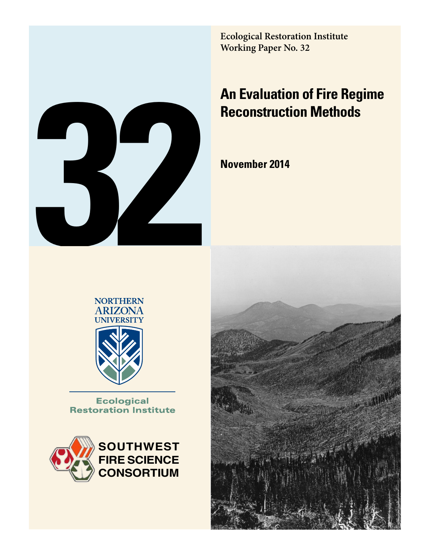**Ecological Restoration Institute Working Paper No. 32**

# **An Evaluation of Fire Regime Reconstruction Methods**

**November 2014**





**Ecological Restoration Institute** 



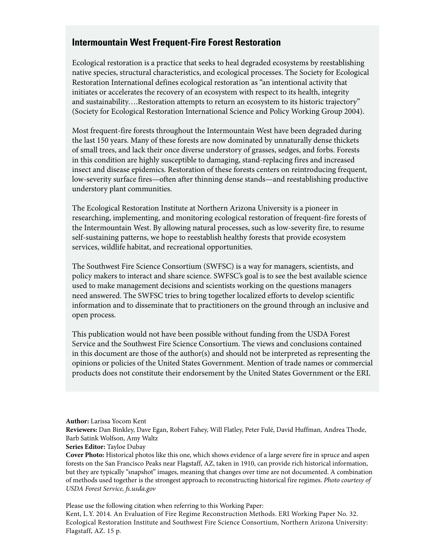# **Intermountain West Frequent-Fire Forest Restoration**

Ecological restoration is a practice that seeks to heal degraded ecosystems by reestablishing native species, structural characteristics, and ecological processes. The Society for Ecological Restoration International defines ecological restoration as "an intentional activity that initiates or accelerates the recovery of an ecosystem with respect to its health, integrity and sustainability….Restoration attempts to return an ecosystem to its historic trajectory" (Society for Ecological Restoration International Science and Policy Working Group 2004).

Most frequent-fire forests throughout the Intermountain West have been degraded during the last 150 years. Many of these forests are now dominated by unnaturally dense thickets of small trees, and lack their once diverse understory of grasses, sedges, and forbs. Forests in this condition are highly susceptible to damaging, stand-replacing fires and increased insect and disease epidemics. Restoration of these forests centers on reintroducing frequent, low-severity surface fires—often after thinning dense stands—and reestablishing productive understory plant communities.

The Ecological Restoration Institute at Northern Arizona University is a pioneer in researching, implementing, and monitoring ecological restoration of frequent-fire forests of the Intermountain West. By allowing natural processes, such as low-severity fire, to resume self-sustaining patterns, we hope to reestablish healthy forests that provide ecosystem services, wildlife habitat, and recreational opportunities.

The Southwest Fire Science Consortium (SWFSC) is a way for managers, scientists, and policy makers to interact and share science. SWFSC's goal is to see the best available science used to make management decisions and scientists working on the questions managers need answered. The SWFSC tries to bring together localized efforts to develop scientific information and to disseminate that to practitioners on the ground through an inclusive and open process.

This publication would not have been possible without funding from the USDA Forest Service and the Southwest Fire Science Consortium. The views and conclusions contained in this document are those of the author(s) and should not be interpreted as representing the opinions or policies of the United States Government. Mention of trade names or commercial products does not constitute their endorsement by the United States Government or the ERI.

Please use the following citation when referring to this Working Paper: Kent, L.Y. 2014. An Evaluation of Fire Regime Reconstruction Methods. ERI Working Paper No. 32. Ecological Restoration Institute and Southwest Fire Science Consortium, Northern Arizona University: Flagstaff, AZ. 15 p.

**Author:** Larissa Yocom Kent

**Reviewers:** Dan Binkley, Dave Egan, Robert Fahey, Will Flatley, Peter Fulé, David Huffman, Andrea Thode, Barb Satink Wolfson, Amy Waltz

**Series Editor:** Tayloe Dubay

**Cover Photo:** Historical photos like this one, which shows evidence of a large severe fire in spruce and aspen forests on the San Francisco Peaks near Flagstaff, AZ, taken in 1910, can provide rich historical information, but they are typically "snapshot" images, meaning that changes over time are not documented. A combination of methods used together is the strongest approach to reconstructing historical fire regimes. *Photo courtesy of USDA Forest Service, fs.usda.gov*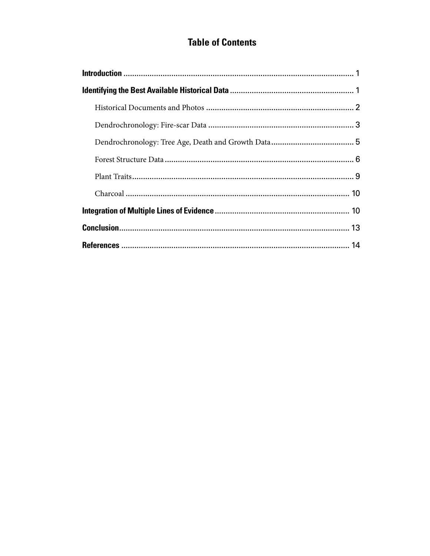# **Table of Contents**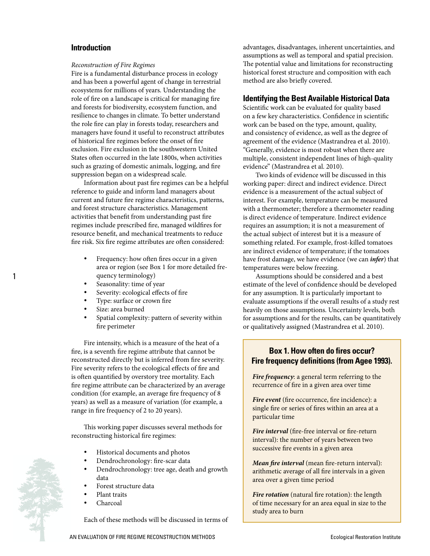### **Introduction**

#### *Reconstruction of Fire Regimes*

Fire is a fundamental disturbance process in ecology and has been a powerful agent of change in terrestrial ecosystems for millions of years. Understanding the role of fire on a landscape is critical for managing fire and forests for biodiversity, ecosystem function, and resilience to changes in climate. To better understand the role fire can play in forests today, researchers and managers have found it useful to reconstruct attributes of historical fire regimes before the onset of fire exclusion. Fire exclusion in the southwestern United States often occurred in the late 1800s, when activities such as grazing of domestic animals, logging, and fire suppression began on a widespread scale.

Information about past fire regimes can be a helpful reference to guide and inform land managers about current and future fire regime characteristics, patterns, and forest structure characteristics. Management activities that benefit from understanding past fire regimes include prescribed fire, managed wildfires for resource benefit, and mechanical treatments to reduce fire risk. Six fire regime attributes are often considered:

- Frequency: how often fires occur in a given area or region (see Box 1 for more detailed frequency terminology)
- Seasonality: time of year
- Severity: ecological effects of fire
- Type: surface or crown fire
- Size: area burned

1

Spatial complexity: pattern of severity within fire perimeter

Fire intensity, which is a measure of the heat of a fire, is a seventh fire regime attribute that cannot be reconstructed directly but is inferred from fire severity. Fire severity refers to the ecological effects of fire and is often quantified by overstory tree mortality. Each fire regime attribute can be characterized by an average condition (for example, an average fire frequency of 8 years) as well as a measure of variation (for example, a range in fire frequency of 2 to 20 years).

This working paper discusses several methods for reconstructing historical fire regimes:

- Historical documents and photos
- Dendrochronology: fire-scar data
- Dendrochronology: tree age, death and growth data
- Forest structure data
- Plant traits
- Charcoal

Each of these methods will be discussed in terms of

advantages, disadvantages, inherent uncertainties, and assumptions as well as temporal and spatial precision. The potential value and limitations for reconstructing historical forest structure and composition with each method are also briefly covered.

#### **Identifying the Best Available Historical Data**

Scientific work can be evaluated for quality based on a few key characteristics. Confidence in scientific work can be based on the type, amount, quality, and consistency of evidence, as well as the degree of agreement of the evidence (Mastrandrea et al. 2010). "Generally, evidence is most robust when there are multiple, consistent independent lines of high-quality evidence" (Mastrandrea et al. 2010).

Two kinds of evidence will be discussed in this working paper: direct and indirect evidence. Direct evidence is a measurement of the actual subject of interest. For example, temperature can be measured with a thermometer; therefore a thermometer reading is direct evidence of temperature. Indirect evidence requires an assumption; it is not a measurement of the actual subject of interest but it is a measure of something related. For example, frost-killed tomatoes are indirect evidence of temperature; if the tomatoes have frost damage, we have evidence (we can *infer*) that temperatures were below freezing.

Assumptions should be considered and a best estimate of the level of confidence should be developed for any assumption. It is particularly important to evaluate assumptions if the overall results of a study rest heavily on those assumptions. Uncertainty levels, both for assumptions and for the results, can be quantitatively or qualitatively assigned (Mastrandrea et al. 2010).

## **Box 1. How often do fires occur? Fire frequency definitions (from Agee 1993).**

*Fire frequency*: a general term referring to the recurrence of fire in a given area over time

*Fire event* (fire occurrence, fire incidence): a single fire or series of fires within an area at a particular time

*Fire interval* (fire-free interval or fire-return interval): the number of years between two successive fire events in a given area

*Mean fire interval* (mean fire-return interval): arithmetic average of all fire intervals in a given area over a given time period

*Fire rotation* (natural fire rotation): the length of time necessary for an area equal in size to the study area to burn

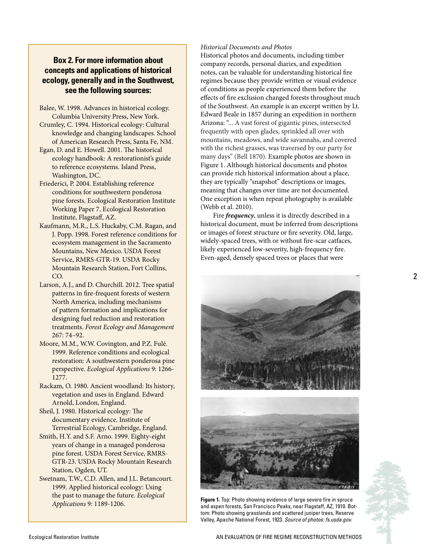# **Box 2. For more information about concepts and applications of historical ecology, generally and in the Southwest, see the following sources:**

- Balee, W. 1998. Advances in historical ecology. Columbia University Press, New York.
- Crumley, C. 1994. Historical ecology: Cultural knowledge and changing landscapes. School of American Research Press, Santa Fe, NM.
- Egan, D. and E. Howell. 2001. The historical ecology handbook: A restorationist's guide to reference ecosystems. Island Press, Washington, DC.
- Friederici, P. 2004. Establishing reference conditions for southwestern ponderosa pine forests. Ecological Restoration Institute Working Paper 7. Ecological Restoration Institute, Flagstaff, AZ.
- Kaufmann, M.R., L.S. Huckaby, C.M. Ragan, and J. Popp. 1998. Forest reference conditions for ecosystem management in the Sacramento Mountains, New Mexico. USDA Forest Service, RMRS-GTR-19. USDA Rocky Mountain Research Station, Fort Collins, CO.
- Larson, A.J., and D. Churchill. 2012. Tree spatial patterns in fire-frequent forests of western North America, including mechanisms of pattern formation and implications for designing fuel reduction and restoration treatments. *Forest Ecology and Management* 267: 74–92.
- Moore, M.M., W.W. Covington, and P.Z. Fulé. 1999. Reference conditions and ecological restoration: A southwestern ponderosa pine perspective. *Ecological Applications* 9: 1266- 1277.
- Rackam, O. 1980. Ancient woodland: Its history, vegetation and uses in England. Edward Arnold, London, England.
- Sheil, J. 1980. Historical ecology: The documentary evidence. Institute of Terrestrial Ecology, Cambridge, England.
- Smith, H.Y. and S.F. Arno. 1999. Eighty-eight years of change in a managed ponderosa pine forest. USDA Forest Service, RMRS-GTR-23. USDA Rocky Mountain Research Station, Ogden, UT.
- Swetnam, T.W., C.D. Allen, and J.L. Betancourt. 1999. Applied historical ecology: Using the past to manage the future. *Ecological Applications* 9: 1189-1206.

#### *Historical Documents and Photos*

Historical photos and documents, including timber company records, personal diaries, and expedition notes, can be valuable for understanding historical fire regimes because they provide written or visual evidence of conditions as people experienced them before the effects of fire exclusion changed forests throughout much of the Southwest. An example is an excerpt written by Lt. Edward Beale in 1857 during an expedition in northern Arizona: "... A vast forest of gigantic pines, intersected frequently with open glades, sprinkled all over with mountains, meadows, and wide savannahs, and covered with the richest grasses, was traversed by our party for many days" (Bell 1870). Example photos are shown in Figure 1. Although historical documents and photos can provide rich historical information about a place, they are typically "snapshot" descriptions or images, meaning that changes over time are not documented. One exception is when repeat photography is available (Webb et al. 2010).

Fire *frequency*, unless it is directly described in a historical document, must be inferred from descriptions or images of forest structure or fire severity. Old, large, widely-spaced trees, with or without fire-scar catfaces, likely experienced low-severity, high-frequency fire. Even-aged, densely spaced trees or places that were





**Figure 1.** Top: Photo showing evidence of large severe fire in spruce and aspen forests, San Francisco Peaks, near Flagstaff, AZ, 1910. Bot tom: Photo showing grasslands and scattered juniper trees, Reserve Valley, Apache National Forest, 1923. *Source of photos: fs.usda.gov.*

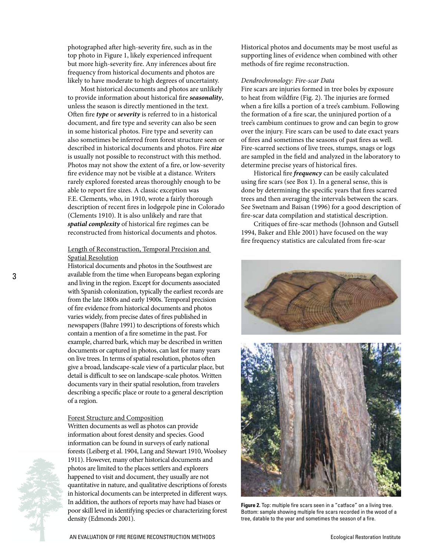photographed after high-severity fire, such as in the top photo in Figure 1, likely experienced infrequent but more high-severity fire. Any inferences about fire frequency from historical documents and photos are likely to have moderate to high degrees of uncertainty.

Most historical documents and photos are unlikely to provide information about historical fire *seasonality*, unless the season is directly mentioned in the text. Often fire *type* or *severity* is referred to in a historical document, and fire type and severity can also be seen in some historical photos. Fire type and severity can also sometimes be inferred from forest structure seen or described in historical documents and photos. Fire *size* is usually not possible to reconstruct with this method. Photos may not show the extent of a fire, or low-severity fire evidence may not be visible at a distance. Writers rarely explored forested areas thoroughly enough to be able to report fire sizes. A classic exception was F.E. Clements, who, in 1910, wrote a fairly thorough description of recent fires in lodgepole pine in Colorado (Clements 1910). It is also unlikely and rare that *spatial complexity* of historical fire regimes can be reconstructed from historical documents and photos.

#### Length of Reconstruction, Temporal Precision and Spatial Resolution

Historical documents and photos in the Southwest are available from the time when Europeans began exploring and living in the region. Except for documents associated with Spanish colonization, typically the earliest records are from the late 1800s and early 1900s. Temporal precision of fire evidence from historical documents and photos varies widely, from precise dates of fires published in newspapers (Bahre 1991) to descriptions of forests which contain a mention of a fire sometime in the past. For example, charred bark, which may be described in written documents or captured in photos, can last for many years on live trees. In terms of spatial resolution, photos often give a broad, landscape-scale view of a particular place, but detail is difficult to see on landscape-scale photos. Written documents vary in their spatial resolution, from travelers describing a specific place or route to a general description of a region.

#### Forest Structure and Composition

Written documents as well as photos can provide information about forest density and species. Good information can be found in surveys of early national forests (Leiberg et al. 1904, Lang and Stewart 1910, Woolsey 1911). However, many other historical documents and photos are limited to the places settlers and explorers happened to visit and document, they usually are not quantitative in nature, and qualitative descriptions of forests in historical documents can be interpreted in different ways. In addition, the authors of reports may have had biases or poor skill level in identifying species or characterizing forest density (Edmonds 2001).

Historical photos and documents may be most useful as supporting lines of evidence when combined with other methods of fire regime reconstruction.

#### *Dendrochronology: Fire-scar Data*

Fire scars are injuries formed in tree boles by exposure to heat from wildfire (Fig. 2). The injuries are formed when a fire kills a portion of a tree's cambium. Following the formation of a fire scar, the uninjured portion of a tree's cambium continues to grow and can begin to grow over the injury. Fire scars can be used to date exact years of fires and sometimes the seasons of past fires as well. Fire-scarred sections of live trees, stumps, snags or logs are sampled in the field and analyzed in the laboratory to determine precise years of historical fires.

Historical fire *frequency* can be easily calculated using fire scars (see Box 1). In a general sense, this is done by determining the specific years that fires scarred trees and then averaging the intervals between the scars. See Swetnam and Baisan (1996) for a good description of fire-scar data compilation and statistical description.

Critiques of fire-scar methods (Johnson and Gutsell 1994, Baker and Ehle 2001) have focused on the way fire frequency statistics are calculated from fire-scar



**Figure 2.** Top: multiple fire scars seen in a "catface" on a living tree. Bottom: sample showing multiple fire scars recorded in the wood of a tree, datable to the year and sometimes the season of a fire.

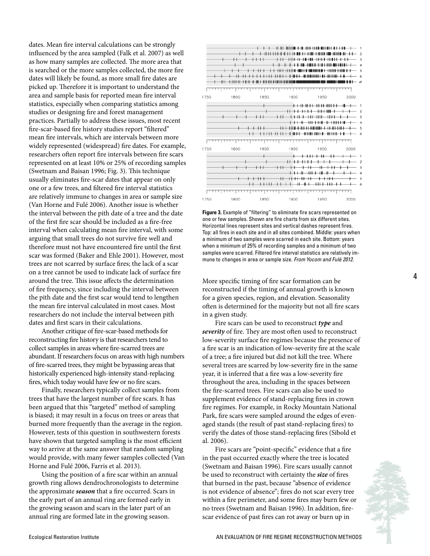dates. Mean fire interval calculations can be strongly influenced by the area sampled (Falk et al. 2007) as well as how many samples are collected. The more area that is searched or the more samples collected, the more fire dates will likely be found, as more small fire dates are picked up. Therefore it is important to understand the area and sample basis for reported mean fire interval statistics, especially when comparing statistics among studies or designing fire and forest management practices. Partially to address these issues, most recent fire-scar-based fire history studies report "filtered" mean fire intervals, which are intervals between more widely represented (widespread) fire dates. For example, researchers often report fire intervals between fire scars represented on at least 10% or 25% of recording samples (Swetnam and Baisan 1996; Fig. 3). This technique usually eliminates fire-scar dates that appear on only one or a few trees, and filtered fire interval statistics are relatively immune to changes in area or sample size (Van Horne and Fulé 2006). Another issue is whether the interval between the pith date of a tree and the date of the first fire scar should be included as a fire-free interval when calculating mean fire interval, with some arguing that small trees do not survive fire well and therefore must not have encountered fire until the first scar was formed (Baker and Ehle 2001). However, most trees are not scarred by surface fires; the lack of a scar on a tree cannot be used to indicate lack of surface fire around the tree. This issue affects the determination of fire frequency, since including the interval between the pith date and the first scar would tend to lengthen the mean fire interval calculated in most cases. Most researchers do not include the interval between pith dates and first scars in their calculations.

Another critique of fire-scar-based methods for reconstructing fire history is that researchers tend to collect samples in areas where fire-scarred trees are abundant. If researchers focus on areas with high numbers of fire-scarred trees, they might be bypassing areas that historically experienced high-intensity stand-replacing fires, which today would have few or no fire scars.

Finally, researchers typically collect samples from trees that have the largest number of fire scars. It has been argued that this "targeted" method of sampling is biased; it may result in a focus on trees or areas that burned more frequently than the average in the region. However, tests of this question in southwestern forests have shown that targeted sampling is the most efficient way to arrive at the same answer that random sampling would provide, with many fewer samples collected (Van Horne and Fulé 2006, Farris et al. 2013).

Using the position of a fire scar within an annual growth ring allows dendrochronologists to determine the approximate *season* that a fire occurred. Scars in the early part of an annual ring are formed early in the growing season and scars in the later part of an annual ring are formed late in the growing season.



**Figure 3.** Example of "filtering" to eliminate fire scars represented on one or few samples. Shown are fire charts from six different sites. Horizontal lines represent sites and vertical dashes represent fires. Top: all fires in each site and in all sites combined. Middle: years when a minimum of two samples were scarred in each site. Bottom: years when a minimum of 25% of recording samples and a minimum of two samples were scarred. Filtered fire interval statistics are relatively immune to changes in area or sample size. *From Yocom and Fulé 2012.* 

More specific timing of fire scar formation can be reconstructed if the timing of annual growth is known for a given species, region, and elevation. Seasonality often is determined for the majority but not all fire scars in a given study.

Fire scars can be used to reconstruct *type* and *severity* of fire. They are most often used to reconstruct low-severity surface fire regimes because the presence of a fire scar is an indication of low-severity fire at the scale of a tree; a fire injured but did not kill the tree. Where several trees are scarred by low-severity fire in the same year, it is inferred that a fire was a low-severity fire throughout the area, including in the spaces between the fire-scarred trees. Fire scars can also be used to supplement evidence of stand-replacing fires in crown fire regimes. For example, in Rocky Mountain National Park, fire scars were sampled around the edges of evenaged stands (the result of past stand-replacing fires) to verify the dates of those stand-replacing fires (Sibold et al. 2006).

Fire scars are "point-specific" evidence that a fire in the past occurred exactly where the tree is located (Swetnam and Baisan 1996). Fire scars usually cannot be used to reconstruct with certainty the *size* of fires that burned in the past, because "absence of evidence is not evidence of absence"; fires do not scar every tree within a fire perimeter, and some fires may burn few or no trees (Swetnam and Baisan 1996). In addition, firescar evidence of past fires can rot away or burn up in

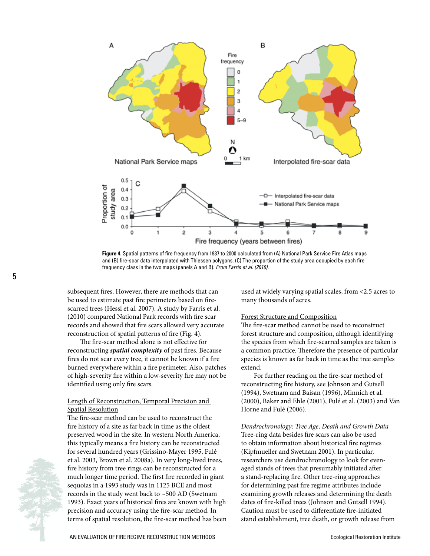

**Figure 4.** Spatial patterns of fire frequency from 1937 to 2000 calculated from (A) National Park Service Fire Atlas maps and (B) fire-scar data interpolated with Thiessen polygons. (C) The proportion of the study area occupied by each fire frequency class in the two maps (panels A and B). *From Farris et al. (2010).*

subsequent fires. However, there are methods that can be used to estimate past fire perimeters based on firescarred trees (Hessl et al. 2007). A study by Farris et al. (2010) compared National Park records with fire scar records and showed that fire scars allowed very accurate reconstruction of spatial patterns of fire (Fig. 4).

The fire-scar method alone is not effective for reconstructing *spatial complexity* of past fires. Because fires do not scar every tree, it cannot be known if a fire burned everywhere within a fire perimeter. Also, patches of high-severity fire within a low-severity fire may not be identified using only fire scars.

#### Length of Reconstruction, Temporal Precision and Spatial Resolution

The fire-scar method can be used to reconstruct the fire history of a site as far back in time as the oldest preserved wood in the site. In western North America, this typically means a fire history can be reconstructed for several hundred years (Grissino-Mayer 1995, Fulé et al. 2003, Brown et al. 2008a). In very long-lived trees, fire history from tree rings can be reconstructed for a much longer time period. The first fire recorded in giant sequoias in a 1993 study was in 1125 BCE and most records in the study went back to ~500 AD (Swetnam 1993). Exact years of historical fires are known with high precision and accuracy using the fire-scar method. In terms of spatial resolution, the fire-scar method has been used at widely varying spatial scales, from <2.5 acres to many thousands of acres.

#### Forest Structure and Composition

The fire-scar method cannot be used to reconstruct forest structure and composition, although identifying the species from which fire-scarred samples are taken is a common practice. Therefore the presence of particular species is known as far back in time as the tree samples extend.

For further reading on the fire-scar method of reconstructing fire history, see Johnson and Gutsell (1994), Swetnam and Baisan (1996), Minnich et al. (2000), Baker and Ehle (2001), Fulé et al. (2003) and Van Horne and Fulé (2006).

*Dendrochronology: Tree Age, Death and Growth Data* Tree-ring data besides fire scars can also be used to obtain information about historical fire regimes (Kipfmueller and Swetnam 2001). In particular, researchers use dendrochronology to look for evenaged stands of trees that presumably initiated after a stand-replacing fire. Other tree-ring approaches for determining past fire regime attributes include examining growth releases and determining the death dates of fire-killed trees (Johnson and Gutsell 1994). Caution must be used to differentiate fire-initiated stand establishment, tree death, or growth release from

5

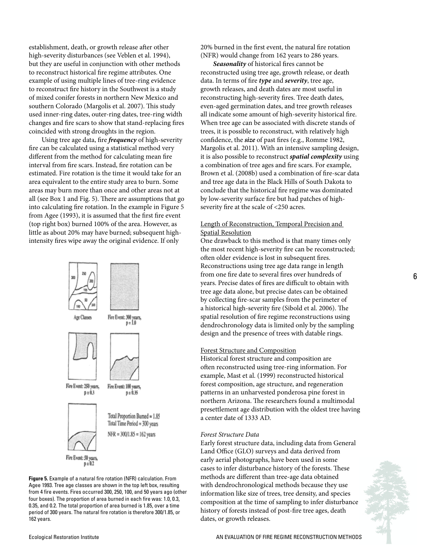establishment, death, or growth release after other high-severity disturbances (see Veblen et al. 1994), but they are useful in conjunction with other methods to reconstruct historical fire regime attributes. One example of using multiple lines of tree-ring evidence to reconstruct fire history in the Southwest is a study of mixed conifer forests in northern New Mexico and southern Colorado (Margolis et al. 2007). This study used inner-ring dates, outer-ring dates, tree-ring width changes and fire scars to show that stand-replacing fires coincided with strong droughts in the region.

Using tree age data, fire *frequency* of high-severity fire can be calculated using a statistical method very different from the method for calculating mean fire interval from fire scars. Instead, fire rotation can be estimated. Fire rotation is the time it would take for an area equivalent to the entire study area to burn. Some areas may burn more than once and other areas not at all (see Box 1 and Fig. 5). There are assumptions that go into calculating fire rotation. In the example in Figure 5 from Agee (1993), it is assumed that the first fire event (top right box) burned 100% of the area. However, as little as about 20% may have burned; subsequent highintensity fires wipe away the original evidence. If only



**Figure 5.** Example of a natural fire rotation (NFR) calculation. From Agee 1993. Tree age classes are shown in the top left box, resulting from 4 fire events. Fires occurred 300, 250, 100, and 50 years ago (other four boxes). The proportion of area burned in each fire was: 1.0, 0.3, 0.35, and 0.2. The total proportion of area burned is 1.85, over a time period of 300 years. The natural fire rotation is therefore 300/1.85, or 162 years.

20% burned in the first event, the natural fire rotation (NFR) would change from 162 years to 286 years.

*Seasonality* of historical fires cannot be reconstructed using tree age, growth release, or death data. In terms of fire *type* and *severity*, tree age, growth releases, and death dates are most useful in reconstructing high-severity fires. Tree death dates, even-aged germination dates, and tree growth releases all indicate some amount of high-severity historical fire. When tree age can be associated with discrete stands of trees, it is possible to reconstruct, with relatively high confidence, the *size* of past fires (e.g., Romme 1982, Margolis et al. 2011). With an intensive sampling design, it is also possible to reconstruct *spatial complexity* using a combination of tree ages and fire scars. For example, Brown et al. (2008b) used a combination of fire-scar data and tree age data in the Black Hills of South Dakota to conclude that the historical fire regime was dominated by low-severity surface fire but had patches of highseverity fire at the scale of <250 acres.

#### Length of Reconstruction, Temporal Precision and Spatial Resolution

One drawback to this method is that many times only the most recent high-severity fire can be reconstructed; often older evidence is lost in subsequent fires. Reconstructions using tree age data range in length from one fire date to several fires over hundreds of years. Precise dates of fires are difficult to obtain with tree age data alone, but precise dates can be obtained by collecting fire-scar samples from the perimeter of a historical high-severity fire (Sibold et al. 2006). The spatial resolution of fire regime reconstructions using dendrochronology data is limited only by the sampling design and the presence of trees with datable rings.

#### Forest Structure and Composition

Historical forest structure and composition are often reconstructed using tree-ring information. For example, Mast et al. (1999) reconstructed historical forest composition, age structure, and regeneration patterns in an unharvested ponderosa pine forest in northern Arizona. The researchers found a multimodal presettlement age distribution with the oldest tree having a center date of 1333 AD.

#### *Forest Structure Data*

Early forest structure data, including data from General Land Office (GLO) surveys and data derived from early aerial photographs, have been used in some cases to infer disturbance history of the forests. These methods are different than tree-age data obtained with dendrochronological methods because they use information like size of trees, tree density, and species composition at the time of sampling to infer disturbance history of forests instead of post-fire tree ages, death dates, or growth releases.

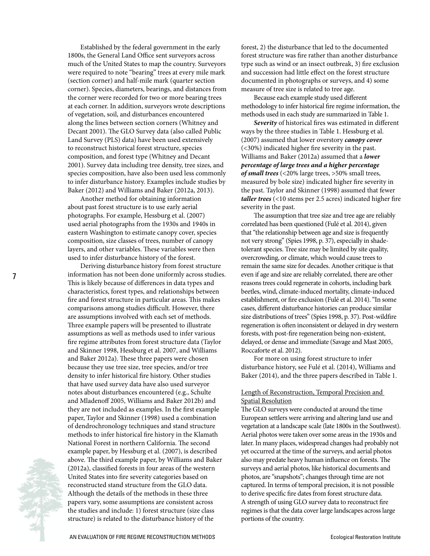Established by the federal government in the early 1800s, the General Land Office sent surveyors across much of the United States to map the country. Surveyors were required to note "bearing" trees at every mile mark (section corner) and half-mile mark (quarter section corner). Species, diameters, bearings, and distances from the corner were recorded for two or more bearing trees at each corner. In addition, surveyors wrote descriptions of vegetation, soil, and disturbances encountered along the lines between section corners (Whitney and Decant 2001). The GLO Survey data (also called Public Land Survey (PLS) data) have been used extensively to reconstruct historical forest structure, species composition, and forest type (Whitney and Decant 2001). Survey data including tree density, tree sizes, and species composition, have also been used less commonly to infer disturbance history. Examples include studies by Baker (2012) and Williams and Baker (2012a, 2013).

Another method for obtaining information about past forest structure is to use early aerial photographs. For example, Hessburg et al. (2007) used aerial photographs from the 1930s and 1940s in eastern Washington to estimate canopy cover, species composition, size classes of trees, number of canopy layers, and other variables. These variables were then used to infer disturbance history of the forest.

Deriving disturbance history from forest structure information has not been done uniformly across studies. This is likely because of differences in data types and characteristics, forest types, and relationships between fire and forest structure in particular areas. This makes comparisons among studies difficult. However, there are assumptions involved with each set of methods. Three example papers will be presented to illustrate assumptions as well as methods used to infer various fire regime attributes from forest structure data (Taylor and Skinner 1998, Hessburg et al. 2007, and Williams and Baker 2012a). These three papers were chosen because they use tree size, tree species, and/or tree density to infer historical fire history. Other studies that have used survey data have also used surveyor notes about disturbances encountered (e.g., Schulte and Mladenoff 2005, Williams and Baker 2012b) and they are not included as examples. In the first example paper, Taylor and Skinner (1998) used a combination of dendrochronology techniques and stand structure methods to infer historical fire history in the Klamath National Forest in northern California. The second example paper, by Hessburg et al. (2007), is described above. The third example paper, by Williams and Baker (2012a), classified forests in four areas of the western United States into fire severity categories based on reconstructed stand structure from the GLO data. Although the details of the methods in these three papers vary, some assumptions are consistent across the studies and include: 1) forest structure (size class structure) is related to the disturbance history of the

forest, 2) the disturbance that led to the documented forest structure was fire rather than another disturbance type such as wind or an insect outbreak, 3) fire exclusion and succession had little effect on the forest structure documented in photographs or surveys, and 4) some measure of tree size is related to tree age.

Because each example study used different methodology to infer historical fire regime information, the methods used in each study are summarized in Table 1.

*Severity* of historical fires was estimated in different ways by the three studies in Table 1. Hessburg et al. (2007) assumed that lower overstory *canopy cover* (<30%) indicated higher fire severity in the past. Williams and Baker (2012a) assumed that a *lower percentage of large trees and a higher percentage of small trees* (<20% large trees, >50% small trees, measured by bole size) indicated higher fire severity in the past. Taylor and Skinner (1998) assumed that fewer *taller trees* (<10 stems per 2.5 acres) indicated higher fire severity in the past.

The assumption that tree size and tree age are reliably correlated has been questioned (Fulé et al. 2014), given that "the relationship between age and size is frequently not very strong" (Spies 1998, p. 37), especially in shadetolerant species. Tree size may be limited by site quality, overcrowding, or climate, which would cause trees to remain the same size for decades. Another critique is that even if age and size are reliably correlated, there are other reasons trees could regenerate in cohorts, including bark beetles, wind, climate-induced mortality, climate-induced establishment, or fire exclusion (Fulé et al. 2014). "In some cases, different disturbance histories can produce similar size distributions of trees" (Spies 1998, p. 37). Post-wildfire regeneration is often inconsistent or delayed in dry western forests, with post-fire regeneration being non-existent, delayed, or dense and immediate (Savage and Mast 2005, Roccaforte et al. 2012).

For more on using forest structure to infer disturbance history, see Fulé et al. (2014), Williams and Baker (2014), and the three papers described in Table 1.

#### Length of Reconstruction, Temporal Precision and Spatial Resolution

The GLO surveys were conducted at around the time European settlers were arriving and altering land use and vegetation at a landscape scale (late 1800s in the Southwest). Aerial photos were taken over some areas in the 1930s and later. In many places, widespread changes had probably not yet occurred at the time of the surveys, and aerial photos also may predate heavy human influence on forests. The surveys and aerial photos, like historical documents and photos, are "snapshots"; changes through time are not captured. In terms of temporal precision, it is not possible to derive specific fire dates from forest structure data. A strength of using GLO survey data to reconstruct fire regimes is that the data cover large landscapes across large portions of the country.

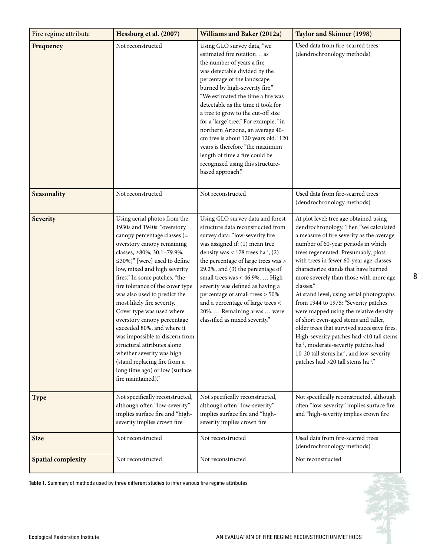| Fire regime attribute     | Hessburg et al. (2007)<br><b>Williams and Baker (2012a)</b>                                                                                                                                                                                                                                                                                                                                                                                                                                                                                                                                                                                      |                                                                                                                                                                                                                                                                                                                                                                                                                                                                                                                                                             | <b>Taylor and Skinner (1998)</b>                                                                                                                                                                                                                                                                                                                                                                                                                                                                                                                                                                                                                                                                                                                                                     |  |  |
|---------------------------|--------------------------------------------------------------------------------------------------------------------------------------------------------------------------------------------------------------------------------------------------------------------------------------------------------------------------------------------------------------------------------------------------------------------------------------------------------------------------------------------------------------------------------------------------------------------------------------------------------------------------------------------------|-------------------------------------------------------------------------------------------------------------------------------------------------------------------------------------------------------------------------------------------------------------------------------------------------------------------------------------------------------------------------------------------------------------------------------------------------------------------------------------------------------------------------------------------------------------|--------------------------------------------------------------------------------------------------------------------------------------------------------------------------------------------------------------------------------------------------------------------------------------------------------------------------------------------------------------------------------------------------------------------------------------------------------------------------------------------------------------------------------------------------------------------------------------------------------------------------------------------------------------------------------------------------------------------------------------------------------------------------------------|--|--|
| Frequency                 | Not reconstructed                                                                                                                                                                                                                                                                                                                                                                                                                                                                                                                                                                                                                                | Using GLO survey data, "we<br>estimated fire rotation as<br>the number of years a fire<br>was detectable divided by the<br>percentage of the landscape<br>burned by high-severity fire."<br>"We estimated the time a fire was<br>detectable as the time it took for<br>a tree to grow to the cut-off size<br>for a 'large' tree." For example, "in<br>northern Arizona, an average 40-<br>cm tree is about 120 years old." 120<br>years is therefore "the maximum<br>length of time a fire could be<br>recognized using this structure-<br>based approach." | Used data from fire-scarred trees<br>(dendrochronology methods)                                                                                                                                                                                                                                                                                                                                                                                                                                                                                                                                                                                                                                                                                                                      |  |  |
| Seasonality               | Not reconstructed                                                                                                                                                                                                                                                                                                                                                                                                                                                                                                                                                                                                                                | Not reconstructed                                                                                                                                                                                                                                                                                                                                                                                                                                                                                                                                           | Used data from fire-scarred trees<br>(dendrochronology methods)                                                                                                                                                                                                                                                                                                                                                                                                                                                                                                                                                                                                                                                                                                                      |  |  |
| <b>Severity</b>           | Using aerial photos from the<br>1930s and 1940s: "overstory<br>canopy percentage classes (=<br>overstory canopy remaining<br>classes, ≥80%, 30.1-79.9%,<br>$\leq$ 30%)" [were] used to define<br>low, mixed and high severity<br>fires." In some patches, "the<br>fire tolerance of the cover type<br>was also used to predict the<br>most likely fire severity.<br>Cover type was used where<br>overstory canopy percentage<br>exceeded 80%, and where it<br>was impossible to discern from<br>structural attributes alone<br>whether severity was high<br>(stand replacing fire from a<br>long time ago) or low (surface<br>fire maintained)." | Using GLO survey data and forest<br>structure data reconstructed from<br>survey data: "low-severity fire<br>was assigned if: (1) mean tree<br>density was $< 178$ trees ha <sup>-1</sup> , (2)<br>the percentage of large trees was ><br>29.2%, and (3) the percentage of<br>small trees was < 46.9%.  High<br>severity was defined as having a<br>percentage of small trees > 50%<br>and a percentage of large trees <<br>20%.  Remaining areas  were<br>classified as mixed severity."                                                                    | At plot level: tree age obtained using<br>dendrochronology. Then "we calculated<br>a measure of fire severity as the average<br>number of 60-year periods in which<br>trees regenerated. Presumably, plots<br>with trees in fewer 60-year age-classes<br>characterize stands that have burned<br>more severely than those with more age-<br>classes."<br>At stand level, using aerial photographs<br>from 1944 to 1975: "Severity patches<br>were mapped using the relative density<br>of short even-aged stems and taller,<br>older trees that survived successive fires.<br>High-severity patches had <10 tall stems<br>ha <sup>-1</sup> , moderate-severity patches had<br>10-20 tall stems ha <sup>-1</sup> , and low-severity<br>patches had >20 tall stems ha <sup>-1</sup> ." |  |  |
| <b>Type</b>               | Not specifically reconstructed,<br>although often "low-severity"<br>implies surface fire and "high-<br>severity implies crown fire                                                                                                                                                                                                                                                                                                                                                                                                                                                                                                               | Not specifically reconstructed,<br>although often "low-severity"<br>implies surface fire and "high-<br>severity implies crown fire                                                                                                                                                                                                                                                                                                                                                                                                                          | Not specifically reconstructed, although<br>often "low-severity" implies surface fire<br>and "high-severity implies crown fire                                                                                                                                                                                                                                                                                                                                                                                                                                                                                                                                                                                                                                                       |  |  |
| <b>Size</b>               | Not reconstructed                                                                                                                                                                                                                                                                                                                                                                                                                                                                                                                                                                                                                                | Not reconstructed                                                                                                                                                                                                                                                                                                                                                                                                                                                                                                                                           | Used data from fire-scarred trees<br>(dendrochronology methods)                                                                                                                                                                                                                                                                                                                                                                                                                                                                                                                                                                                                                                                                                                                      |  |  |
| <b>Spatial complexity</b> | Not reconstructed                                                                                                                                                                                                                                                                                                                                                                                                                                                                                                                                                                                                                                | Not reconstructed                                                                                                                                                                                                                                                                                                                                                                                                                                                                                                                                           | Not reconstructed                                                                                                                                                                                                                                                                                                                                                                                                                                                                                                                                                                                                                                                                                                                                                                    |  |  |

**Table 1.** Summary of methods used by three different studies to infer various fire regime attributes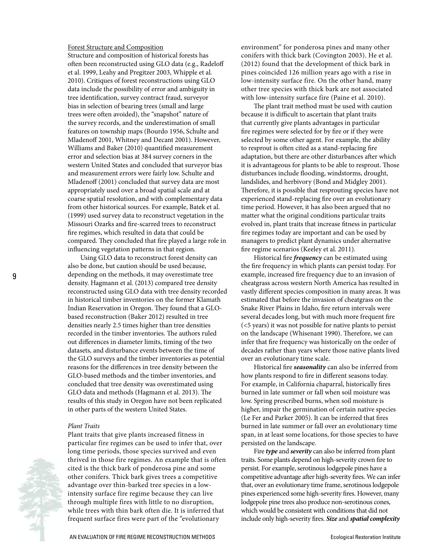#### Forest Structure and Composition

Structure and composition of historical forests has often been reconstructed using GLO data (e.g., Radeloff et al. 1999, Leahy and Pregitzer 2003, Whipple et al. 2010). Critiques of forest reconstructions using GLO data include the possibility of error and ambiguity in tree identification, survey contract fraud, surveyor bias in selection of bearing trees (small and large trees were often avoided), the "snapshot" nature of the survey records, and the underestimation of small features on township maps (Bourdo 1956, Schulte and Mladenoff 2001, Whitney and Decant 2001). However, Williams and Baker (2010) quantified measurement error and selection bias at 384 survey corners in the western United States and concluded that surveyor bias and measurement errors were fairly low. Schulte and Mladenoff (2001) concluded that survey data are most appropriately used over a broad spatial scale and at coarse spatial resolution, and with complementary data from other historical sources. For example, Batek et al. (1999) used survey data to reconstruct vegetation in the Missouri Ozarks and fire-scarred trees to reconstruct fire regimes, which resulted in data that could be compared. They concluded that fire played a large role in influencing vegetation patterns in that region.

Using GLO data to reconstruct forest density can also be done, but caution should be used because, depending on the methods, it may overestimate tree density. Hagmann et al. (2013) compared tree density reconstructed using GLO data with tree density recorded in historical timber inventories on the former Klamath Indian Reservation in Oregon. They found that a GLObased reconstruction (Baker 2012) resulted in tree densities nearly 2.5 times higher than tree densities recorded in the timber inventories. The authors ruled out differences in diameter limits, timing of the two datasets, and disturbance events between the time of the GLO surveys and the timber inventories as potential reasons for the differences in tree density between the GLO-based methods and the timber inventories, and concluded that tree density was overestimated using GLO data and methods (Hagmann et al. 2013). The results of this study in Oregon have not been replicated in other parts of the western United States.

#### *Plant Traits*

Plant traits that give plants increased fitness in particular fire regimes can be used to infer that, over long time periods, those species survived and even thrived in those fire regimes. An example that is often cited is the thick bark of ponderosa pine and some other conifers. Thick bark gives trees a competitive advantage over thin-barked tree species in a lowintensity surface fire regime because they can live through multiple fires with little to no disruption, while trees with thin bark often die. It is inferred that frequent surface fires were part of the "evolutionary

environment" for ponderosa pines and many other conifers with thick bark (Covington 2003). He et al. (2012) found that the development of thick bark in pines coincided 126 million years ago with a rise in low-intensity surface fire. On the other hand, many other tree species with thick bark are not associated with low-intensity surface fire (Paine et al. 2010).

The plant trait method must be used with caution because it is difficult to ascertain that plant traits that currently give plants advantages in particular fire regimes were selected for by fire or if they were selected by some other agent. For example, the ability to resprout is often cited as a stand-replacing fire adaptation, but there are other disturbances after which it is advantageous for plants to be able to resprout. Those disturbances include flooding, windstorms, drought, landslides, and herbivory (Bond and Midgley 2001). Therefore, it is possible that resprouting species have not experienced stand-replacing fire over an evolutionary time period. However, it has also been argued that no matter what the original conditions particular traits evolved in, plant traits that increase fitness in particular fire regimes today are important and can be used by managers to predict plant dynamics under alternative fire regime scenarios (Keeley et al. 2011).

Historical fire *frequency* can be estimated using the fire frequency in which plants can persist today. For example, increased fire frequency due to an invasion of cheatgrass across western North America has resulted in vastly different species composition in many areas. It was estimated that before the invasion of cheatgrass on the Snake River Plains in Idaho, fire return intervals were several decades long, but with much more frequent fire (<5 years) it was not possible for native plants to persist on the landscape (Whisenant 1990). Therefore, we can infer that fire frequency was historically on the order of decades rather than years where those native plants lived over an evolutionary time scale.

Historical fire *seasonality* can also be inferred from how plants respond to fire in different seasons today. For example, in California chaparral, historically fires burned in late summer or fall when soil moisture was low. Spring prescribed burns, when soil moisture is higher, impair the germination of certain native species (Le Fer and Parker 2005). It can be inferred that fires burned in late summer or fall over an evolutionary time span, in at least some locations, for those species to have persisted on the landscape.

Fire *type* and *severity* can also be inferred from plant traits. Some plants depend on high-severity crown fire to persist. For example, serotinous lodgepole pines have a competitive advantage after high-severity fires. We can infer that, over an evolutionary time frame, serotinous lodgepole pines experienced some high-severity fires. However, many lodgepole pine trees also produce non-serotinous cones, which would be consistent with conditions that did not include only high-severity fires. *Size* and *spatial complexity*

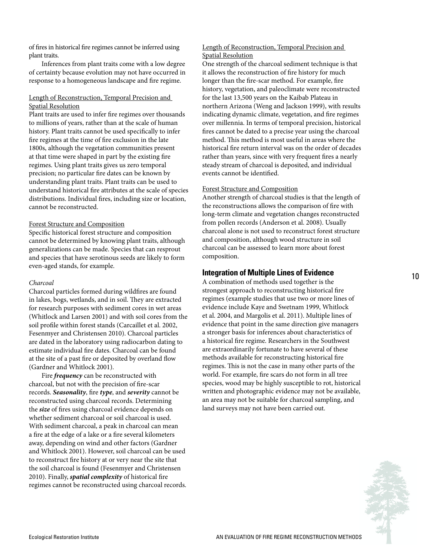of fires in historical fire regimes cannot be inferred using plant traits.

Inferences from plant traits come with a low degree of certainty because evolution may not have occurred in response to a homogeneous landscape and fire regime.

#### Length of Reconstruction, Temporal Precision and Spatial Resolution

Plant traits are used to infer fire regimes over thousands to millions of years, rather than at the scale of human history. Plant traits cannot be used specifically to infer fire regimes at the time of fire exclusion in the late 1800s, although the vegetation communities present at that time were shaped in part by the existing fire regimes. Using plant traits gives us zero temporal precision; no particular fire dates can be known by understanding plant traits. Plant traits can be used to understand historical fire attributes at the scale of species distributions. Individual fires, including size or location, cannot be reconstructed.

#### Forest Structure and Composition

Specific historical forest structure and composition cannot be determined by knowing plant traits, although generalizations can be made. Species that can resprout and species that have serotinous seeds are likely to form even-aged stands, for example.

#### *Charcoal*

Charcoal particles formed during wildfires are found in lakes, bogs, wetlands, and in soil. They are extracted for research purposes with sediment cores in wet areas (Whitlock and Larsen 2001) and with soil cores from the soil profile within forest stands (Carcaillet et al. 2002, Fesenmyer and Christensen 2010). Charcoal particles are dated in the laboratory using radiocarbon dating to estimate individual fire dates. Charcoal can be found at the site of a past fire or deposited by overland flow (Gardner and Whitlock 2001).

Fire *frequency* can be reconstructed with charcoal, but not with the precision of fire-scar records. *Seasonality*, fire *type*, and *severity* cannot be reconstructed using charcoal records. Determining the *size* of fires using charcoal evidence depends on whether sediment charcoal or soil charcoal is used. With sediment charcoal, a peak in charcoal can mean a fire at the edge of a lake or a fire several kilometers away, depending on wind and other factors (Gardner and Whitlock 2001). However, soil charcoal can be used to reconstruct fire history at or very near the site that the soil charcoal is found (Fesenmyer and Christensen 2010). Finally, *spatial complexity* of historical fire regimes cannot be reconstructed using charcoal records.

#### Length of Reconstruction, Temporal Precision and Spatial Resolution

One strength of the charcoal sediment technique is that it allows the reconstruction of fire history for much longer than the fire-scar method. For example, fire history, vegetation, and paleoclimate were reconstructed for the last 13,500 years on the Kaibab Plateau in northern Arizona (Weng and Jackson 1999), with results indicating dynamic climate, vegetation, and fire regimes over millennia. In terms of temporal precision, historical fires cannot be dated to a precise year using the charcoal method. This method is most useful in areas where the historical fire return interval was on the order of decades rather than years, since with very frequent fires a nearly steady stream of charcoal is deposited, and individual events cannot be identified.

#### Forest Structure and Composition

Another strength of charcoal studies is that the length of the reconstructions allows the comparison of fire with long-term climate and vegetation changes reconstructed from pollen records (Anderson et al. 2008). Usually charcoal alone is not used to reconstruct forest structure and composition, although wood structure in soil charcoal can be assessed to learn more about forest composition.

#### **Integration of Multiple Lines of Evidence**

A combination of methods used together is the strongest approach to reconstructing historical fire regimes (example studies that use two or more lines of evidence include Kaye and Swetnam 1999, Whitlock et al. 2004, and Margolis et al. 2011). Multiple lines of evidence that point in the same direction give managers a stronger basis for inferences about characteristics of a historical fire regime. Researchers in the Southwest are extraordinarily fortunate to have several of these methods available for reconstructing historical fire regimes. This is not the case in many other parts of the world. For example, fire scars do not form in all tree species, wood may be highly susceptible to rot, historical written and photographic evidence may not be available, an area may not be suitable for charcoal sampling, and land surveys may not have been carried out.

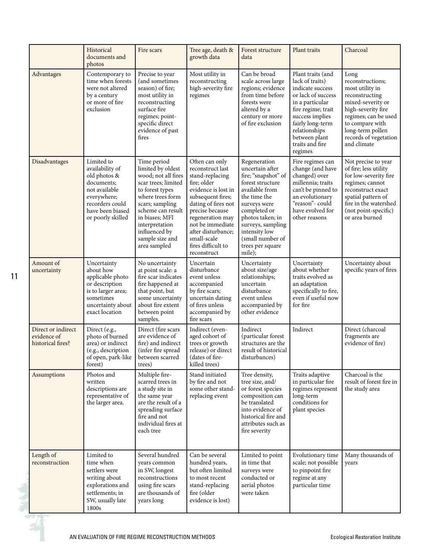|                                                        | Historical<br>documents and<br>photos                                                                                                                   | Fire scars                                                                                                                                                                                                                                            | Tree age, death &<br>growth data                                                                                                                                                                                                                                             | Forest structure<br>data                                                                                                                                                                                                                                 | Plant traits                                                                                                                                                                                                                   | Charcoal                                                                                                                                                                                                        |
|--------------------------------------------------------|---------------------------------------------------------------------------------------------------------------------------------------------------------|-------------------------------------------------------------------------------------------------------------------------------------------------------------------------------------------------------------------------------------------------------|------------------------------------------------------------------------------------------------------------------------------------------------------------------------------------------------------------------------------------------------------------------------------|----------------------------------------------------------------------------------------------------------------------------------------------------------------------------------------------------------------------------------------------------------|--------------------------------------------------------------------------------------------------------------------------------------------------------------------------------------------------------------------------------|-----------------------------------------------------------------------------------------------------------------------------------------------------------------------------------------------------------------|
| Advantages                                             | Contemporary to<br>time when forests<br>were not altered<br>by a century<br>or more of fire<br>exclusion                                                | Precise to year<br>(and sometimes<br>season) of fire;<br>most utility in<br>reconstructing<br>surface fire<br>regimes; point-<br>specific direct<br>evidence of past<br>fires                                                                         | Most utility in<br>reconstructing<br>high-severity fire<br>regimes                                                                                                                                                                                                           | Can be broad<br>scale across large<br>regions; evidence<br>from time before<br>forests were<br>altered by a<br>century or more<br>of fire exclusion                                                                                                      | Plant traits (and<br>lack of traits)<br>indicate success<br>or lack of success<br>in a particular<br>fire regime; trait<br>success implies<br>fairly long-term<br>relationships<br>between plant<br>traits and fire<br>regimes | Long<br>reconstructions;<br>most utility in<br>reconstructing<br>mixed-severity or<br>high-severity fire<br>regimes; can be used<br>to compare with<br>long-term pollen<br>records of vegetation<br>and climate |
| Disadvantages                                          | Limited to<br>availability of<br>old photos &<br>documents:<br>not available<br>everywhere;<br>recorders could<br>have been biased<br>or poorly skilled | Time period<br>limited by oldest<br>wood; not all fires<br>scar trees; limited<br>to forest types<br>where trees form<br>scars; sampling<br>scheme can result<br>in biases; MFI<br>interpretation<br>influenced by<br>sample size and<br>area sampled | Often can only<br>reconstruct last<br>stand-replacing<br>fire; older<br>evidence is lost in<br>subsequent fires;<br>dating of fires not<br>precise because<br>regeneration may<br>not be immediate<br>after disturbance;<br>small-scale<br>fires difficult to<br>reconstruct | Regeneration<br>uncertain after<br>fire; "snapshot" of<br>forest structure<br>available from<br>the time the<br>surveys were<br>completed or<br>photos taken; in<br>surveys, sampling<br>intensity low<br>(small number of<br>trees per square<br>mile); | Fire regimes can<br>change (and have<br>changed) over<br>millennia; traits<br>can't be pinned to<br>an evolutionary<br>"reason"- could<br>have evolved for<br>other reasons                                                    | Not precise to year<br>of fire; less utility<br>for low-severity fire<br>regimes; cannot<br>reconstruct exact<br>spatial pattern of<br>fire in the watershed<br>(not point-specific)<br>or area burned          |
| Amount of<br>uncertainty                               | Uncertainty<br>about how<br>applicable photo<br>or description<br>is to larger area;<br>sometimes<br>uncertainty about<br>exact location                | No uncertainty<br>at point scale: a<br>fire scar indicates<br>fire happened at<br>that point, but<br>some uncertainty<br>about fire extent<br>between point<br>samples.                                                                               | Uncertain<br>disturbance<br>event unless<br>accompanied<br>by fire scars;<br>uncertain dating<br>of fires unless<br>accompanied by<br>fire scars                                                                                                                             | Uncertainty<br>about size/age<br>relationships;<br>uncertain<br>disturbance<br>event unless<br>accompanied by<br>other evidence                                                                                                                          | Uncertainty<br>about whether<br>traits evolved as<br>an adaptation<br>specifically to fire,<br>even if useful now<br>for fire                                                                                                  | Uncertainty about<br>specific years of fires                                                                                                                                                                    |
| Direct or indirect<br>evidence of<br>historical fires? | Direct (e.g.,<br>photo of burned<br>area) or indirect<br>(e.g., description<br>of open, park-like<br>forest)                                            | Direct (fire scars<br>are evidence of<br>fire) and indirect<br>(infer fire spread<br>between scarred<br>trees)                                                                                                                                        | Indirect (even-<br>aged cohort of<br>trees or growth<br>release) or direct<br>(dates of fire-<br>killed trees)                                                                                                                                                               | Indirect<br>(particular forest<br>structures are the<br>result of historical<br>disturbances)                                                                                                                                                            | Indirect                                                                                                                                                                                                                       | Direct (charcoal<br>fragments are<br>evidence of fire)                                                                                                                                                          |
| Assumptions                                            | Photos and<br>written<br>descriptions are<br>representative of<br>the larger area.                                                                      | Multiple fire-<br>scarred trees in<br>a study site in<br>the same year<br>are the result of a<br>spreading surface<br>fire and not<br>individual fires at<br>each tree                                                                                | Stand initiated<br>by fire and not<br>some other stand-<br>replacing event                                                                                                                                                                                                   | Tree density,<br>tree size, and/<br>or forest species<br>composition can<br>be translated<br>into evidence of<br>historical fire and<br>attributes such as<br>fire severity                                                                              | Traits adaptive<br>in particular fire<br>regimes represent<br>long-term<br>conditions for<br>plant species                                                                                                                     | Charcoal is the<br>result of forest fire in<br>the study area                                                                                                                                                   |
| Length of<br>reconstruction                            | Limited to<br>time when<br>settlers were<br>writing about<br>explorations and<br>settlements; in<br>SW, usually late<br>1800s                           | Several hundred<br>years common<br>in SW, longest<br>reconstructions<br>using fire scars<br>are thousands of<br>years long                                                                                                                            | Can be several<br>hundred years,<br>but often limited<br>to most recent<br>stand-replacing<br>fire (older<br>evidence is lost)                                                                                                                                               | Limited to point<br>in time that<br>surveys were<br>conducted or<br>aerial photos<br>were taken                                                                                                                                                          | Evolutionary time<br>scale; not possible<br>to pinpoint fire<br>regime at any<br>particular time                                                                                                                               | Many thousands of<br>years                                                                                                                                                                                      |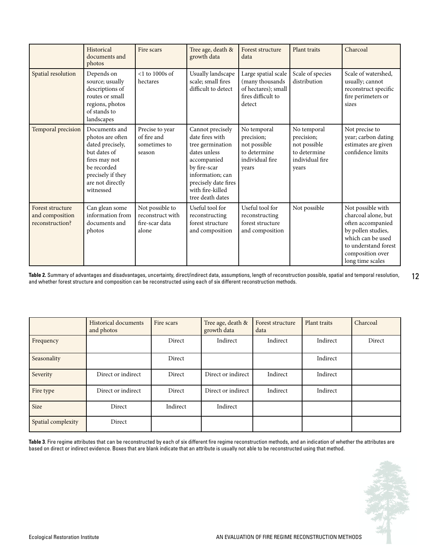|                                                        | Historical<br>documents and<br>photos                                                                                                                       | Fire scars                                                     | Tree age, death &<br>growth data                                                                                                                                                           | Forest structure<br>data                                                                      | Plant traits                                                                          | Charcoal                                                                                                                                                                 |
|--------------------------------------------------------|-------------------------------------------------------------------------------------------------------------------------------------------------------------|----------------------------------------------------------------|--------------------------------------------------------------------------------------------------------------------------------------------------------------------------------------------|-----------------------------------------------------------------------------------------------|---------------------------------------------------------------------------------------|--------------------------------------------------------------------------------------------------------------------------------------------------------------------------|
| Spatial resolution                                     | Depends on<br>source; usually<br>descriptions of<br>routes or small<br>regions, photos<br>of stands to<br>landscapes                                        | $<$ 1 to 1000s of<br>hectares                                  | Usually landscape<br>scale; small fires<br>difficult to detect                                                                                                                             | Large spatial scale<br>(many thousands<br>of hectares); small<br>fires difficult to<br>detect | Scale of species<br>distribution                                                      | Scale of watershed.<br>usually; cannot<br>reconstruct specific<br>fire perimeters or<br>sizes                                                                            |
| Temporal precision                                     | Documents and<br>photos are often<br>dated precisely,<br>but dates of<br>fires may not<br>be recorded<br>precisely if they<br>are not directly<br>witnessed | Precise to year<br>of fire and<br>sometimes to<br>season       | Cannot precisely<br>date fires with<br>tree germination<br>dates unless<br>accompanied<br>by fire-scar<br>information: can<br>precisely date fires<br>with fire-killed<br>tree death dates | No temporal<br>precision;<br>not possible<br>to determine<br>individual fire<br>years         | No temporal<br>precision;<br>not possible<br>to determine<br>individual fire<br>years | Not precise to<br>year; carbon dating<br>estimates are given<br>confidence limits                                                                                        |
| Forest structure<br>and composition<br>reconstruction? | Can glean some<br>information from<br>documents and<br>photos                                                                                               | Not possible to<br>reconstruct with<br>fire-scar data<br>alone | Useful tool for<br>reconstructing<br>forest structure<br>and composition                                                                                                                   | Useful tool for<br>reconstructing<br>forest structure<br>and composition                      | Not possible                                                                          | Not possible with<br>charcoal alone, but<br>often accompanied<br>by pollen studies,<br>which can be used<br>to understand forest<br>composition over<br>long time scales |

**Table 2.** Summary of advantages and disadvantages, uncertainty, direct/indirect data, assumptions, length of reconstruction possible, spatial and temporal resolution, and whether forest structure and composition can be reconstructed using each of six different reconstruction methods.

|                    | <b>Historical documents</b><br>and photos | Fire scars | Tree age, death &<br>growth data | Forest structure<br>data | Plant traits | Charcoal |
|--------------------|-------------------------------------------|------------|----------------------------------|--------------------------|--------------|----------|
| Frequency          |                                           | Direct     | Indirect                         | Indirect                 | Indirect     | Direct   |
| Seasonality        |                                           | Direct     |                                  |                          | Indirect     |          |
| Severity           | Direct or indirect                        | Direct     | Direct or indirect               | Indirect                 | Indirect     |          |
| Fire type          | Direct or indirect                        | Direct     | Direct or indirect               | Indirect                 | Indirect     |          |
| <b>Size</b>        | Direct                                    | Indirect   | Indirect                         |                          |              |          |
| Spatial complexity | Direct                                    |            |                                  |                          |              |          |

**Table 3**. Fire regime attributes that can be reconstructed by each of six different fire regime reconstruction methods, and an indication of whether the attributes are based on direct or indirect evidence. Boxes that are blank indicate that an attribute is usually not able to be reconstructed using that method.

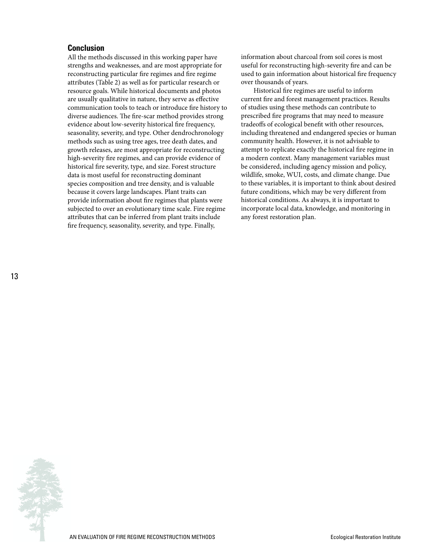#### **Conclusion**

All the methods discussed in this working paper have strengths and weaknesses, and are most appropriate for reconstructing particular fire regimes and fire regime attributes (Table 2) as well as for particular research or resource goals. While historical documents and photos are usually qualitative in nature, they serve as effective communication tools to teach or introduce fire history to diverse audiences. The fire-scar method provides strong evidence about low-severity historical fire frequency, seasonality, severity, and type. Other dendrochronology methods such as using tree ages, tree death dates, and growth releases, are most appropriate for reconstructing high-severity fire regimes, and can provide evidence of historical fire severity, type, and size. Forest structure data is most useful for reconstructing dominant species composition and tree density, and is valuable because it covers large landscapes. Plant traits can provide information about fire regimes that plants were subjected to over an evolutionary time scale. Fire regime attributes that can be inferred from plant traits include fire frequency, seasonality, severity, and type. Finally,

information about charcoal from soil cores is most useful for reconstructing high-severity fire and can be used to gain information about historical fire frequency over thousands of years.

Historical fire regimes are useful to inform current fire and forest management practices. Results of studies using these methods can contribute to prescribed fire programs that may need to measure tradeoffs of ecological benefit with other resources, including threatened and endangered species or human community health. However, it is not advisable to attempt to replicate exactly the historical fire regime in a modern context. Many management variables must be considered, including agency mission and policy, wildlife, smoke, WUI, costs, and climate change. Due to these variables, it is important to think about desired future conditions, which may be very different from historical conditions. As always, it is important to incorporate local data, knowledge, and monitoring in any forest restoration plan.

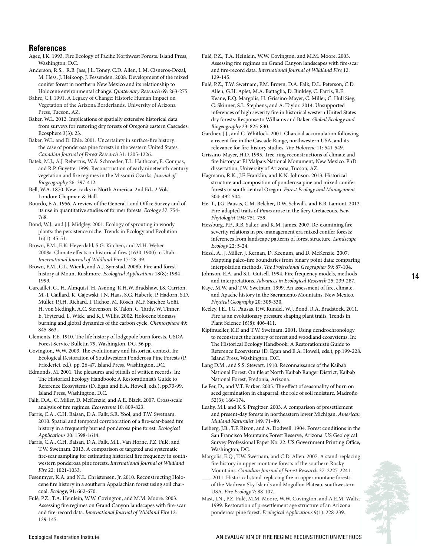#### **References**

Agee, J.K. 1993. Fire Ecology of Pacific Northwest Forests. Island Press, Washington, D.C.

Anderson, R.S., R.B. Jass, J.L. Toney, C.D. Allen, L.M. Cisneros-Dozal, M. Hess, J. Heikoop, J. Fessenden. 2008. Development of the mixed conifer forest in northern New Mexico and its relationship to Holocene environmental change. *Quaternary Research* 69: 263-275.

Bahre, C.J. 1991. A Legacy of Change: Historic Human Impact on Vegetation of the Arizona Borderlands. University of Arizona Press, Tucson, AZ.

Baker, W.L. 2012. Implications of spatially extensive historical data from surveys for restoring dry forests of Oregon's eastern Cascades. Ecosphere 3(3): 23.

Baker, W.L. and D. Ehle. 2001. Uncertainty in surface-fire history: the case of ponderosa pine forests in the western United States. *Canadian Journal of Forest Research* 31: 1205-1226.

Batek, M.J., A.J. Rebertus, W.A. Schroeder, T.L. Haithcoat, E. Compas, and R.P. Guyette. 1999. Reconstruction of early nineteenth-century vegetation and fire regimes in the Missouri Ozarks. *Journal of Biogeography* 26: 397-412.

Bell, W.A. 1870. New tracks in North America. 2nd Ed., 2 Vols. London: Chapman & Hall.

Bourdo, E.A. 1956. A review of the General Land Office Survey and of its use in quantitative studies of former forests. *Ecology* 37: 754- 768.

Bond, W.J., and J.J. Midgley. 2001. Ecology of sprouting in woody plants: the persistence niche. Trends in Ecology and Evolution 16(1): 45-51.

Brown, P.M., E.K. Heyerdahl, S.G. Kitchen, and M.H. Weber. 2008a. Climate effects on historical fires (1630-1900) in Utah. *International Journal of Wildland Fire* 17: 28-39.

Brown, P.M., C.L. Wienk, and A.J. Symstad. 2008b. Fire and forest history at Mount Rushmore. *Ecological Applications* 18(8): 1984- 1999.

Carcaillet, C., H. Almquist, H. Asnong, R.H.W. Bradshaw, J.S. Carrion, M.-J. Gaillard, K. Gajewski, J.N. Haas, S.G. Haberle, P. Hadorn, S.D. Müller, P.J.H. Richard, I. Richoz, M. Rösch, M.F. Sánchez Goñi, H. von Stedingk, A.C. Stevenson, B. Talon, C. Tardy, W. Tinner, E. Tryterud, L. Wick, and K.J. Willis. 2002. Holocene biomass burning and global dynamics of the carbon cycle. *Chemosphere* 49: 845-863.

Clements, F.E. 1910. The life history of lodgepole burn forests. USDA Forest Service Bulletin 79, Washington, DC. 56 pp.

Covington, W.W. 2003. The evolutionary and historical context. In: Ecological Restoration of Southwestern Ponderosa Pine Forests (P. Friederici, ed.), pp. 26-47. Island Press, Washington, DC.

Edmonds, M. 2001. The pleasures and pitfalls of written records. In: The Historical Ecology Handbook: A Restorationist's Guide to Reference Ecosystems (D. Egan and E.A. Howell, eds.), pp.73-99. Island Press, Washington, D.C.

Falk, D.A., C. Miller, D. McKenzie, and A.E. Black. 2007. Cross-scale analysis of fire regimes. *Ecosystems* 10: 809-823.

Farris, C.A., C.H. Baisan, D.A. Falk, S.R. Yool, and T.W. Swetnam. 2010. Spatial and temporal corroboration of a fire-scar-based fire history in a frequently burned ponderosa pine forest. *Ecological Applications* 20: 1598-1614.

Farris, C.A., C.H. Baisan, D.A. Falk, M.L. Van Horne, P.Z. Fulé, and T.W. Swetnam. 2013. A comparison of targeted and systematic fire-scar sampling for estimating historical fire frequency in southwestern ponderosa pine forests. *International Journal of Wildland Fire* 22: 1021-1033.

Fesenmyer, K.A. and N.L. Christensen, Jr. 2010. Reconstructing Holocene fire history in a southern Appalachian forest using soil charcoal. *Ecology*, 91: 662-670.

Fulé, P.Z., T.A. Heinlein, W.W. Covington, and M.M. Moore. 2003. Assessing fire regimes on Grand Canyon landscapes with fire-scar and fire-record data. *International Journal of Wildland Fire* 12: 129-145.

Fulé, P.Z., T.A. Heinlein, W.W. Covington, and M.M. Moore. 2003. Assessing fire regimes on Grand Canyon landscapes with fire-scar and fire-record data. *International Journal of Wildland Fire* 12: 129-145.

Fulé, P.Z., T.W. Swetnam, P.M. Brown, D.A. Falk, D.L. Peterson, C.D. Allen, G.H. Aplet, M.A. Battaglia, D. Binkley, C. Farris, R.E. Keane, E.Q. Margolis, H. Grissino-Mayer, C. Miller, C. Hull Sieg, C. Skinner, S.L. Stephens, and A. Taylor. 2014. Unsupported inferences of high severity fire in historical western United States dry forests: Response to Williams and Baker. *Global Ecology and Biogeography* 23: 825-830.

Gardner, J.J., and C. Whitlock. 2001. Charcoal accumulation following a recent fire in the Cascade Range, northwestern USA, and its relevance for fire-history studies. *The Holocene* 11: 541-549.

Grissino-Mayer, H.D. 1995. Tree-ring reconstructions of climate and fire history at El Malpais National Monument, New Mexico. PhD dissertation, University of Arizona, Tucson, AZ.

Hagmann, R.K., J.F. Franklin, and K.N. Johnson. 2013. Historical structure and composition of ponderosa pine and mixed-conifer forests in south-central Oregon. *Forest Ecology and Management* 304: 492-504.

He, T., J.G. Pausas, C.M. Belcher, D.W. Schwilk, and B.B. Lamont. 2012. Fire-adapted traits of *Pinus* arose in the fiery Cretaceous. *New Phytologist* 194: 751-759.

Hessburg, P.F., R.B. Salter, and K.M. James. 2007. Re-examining fire severity relations in pre-management era mixed conifer forests: inferences from landscape patterns of forest structure. *Landscape Ecology* 22: 5-24.

Hessl, A., J. Miller, J. Kernan, D. Keenum, and D. McKenzie. 2007. Mapping paleo-fire boundaries from binary point data: comparing interpolation methods. *The Professional Geographer* 59: 87-104.

Johnson, E.A. and S.L. Gutsell. 1994. Fire frequency models, methods and interpretations. *Advances in Ecological Research* 25: 239-287.

Kaye, M.W. and T.W. Swetnam. 1999. An assessment of fire, climate, and Apache history in the Sacramento Mountains, New Mexico. *Physical Geography* 20: 305-330.

Keeley, J.E., J.G. Pausas, P.W. Rundel, W.J. Bond, R.A. Bradstock. 2011. Fire as an evolutionary pressure shaping plant traits. Trends in Plant Science 16(8): 406-411.

Kipfmueller, K.F. and T.W. Swetnam. 2001. Using dendrochronology to reconstruct the history of forest and woodland ecosystems. In: The Historical Ecology Handbook: A Restorationist's Guide to Reference Ecosystems (D. Egan and E.A. Howell, eds.), pp.199-228. Island Press, Washington, D.C.

Lang D.M., and S.S. Stewart. 1910. Reconnaissance of the Kaibab National Forest. On file at North Kaibab Ranger District, Kaibab National Forest, Fredonia, Arizona.

Le Fer, D., and V.T. Parker. 2005. The effect of seasonality of burn on seed germination in chaparral: the role of soil moisture. Madroño 52(3): 166-174.

Leahy, M.J. and K.S. Pregitzer. 2003. A comparison of presettlement and present-day forests in northeastern lower Michigan. *American Midland Naturalist* 149: 71–89.

Leiberg, J.B., T.F. Rixon, and A. Dodwell. 1904. Forest conditions in the San Francisco Mountains Forest Reserve, Arizona. US Geological Survey Professional Paper No. 22. US Government Printing Office, Washington, DC.

Margolis, E.Q., T.W. Swetnam, and C.D. Allen. 2007. A stand-replacing fire history in upper montane forests of the southern Rocky Mountains. *Canadian Journal of Forest Research* 37: 2227-2241.

2011. Historical stand-replacing fire in upper montane forests of the Madrean Sky Islands and Mogollon Plateau, southwestern USA. *Fire Ecology* 7: 88-107.

Mast, J.N., P.Z. Fulé, M.M. Moore, W.W. Covington, and A.E.M. Waltz. 1999. Restoration of presettlement age structure of an Arizona ponderosa pine forest. *Ecological Applications* 9(1): 228-239.

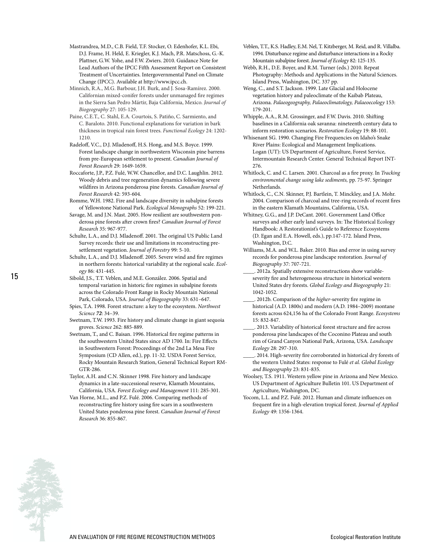- Mastrandrea, M.D., C.B. Field, T.F. Stocker, O. Edenhofer, K.L. Ebi, D.J. Frame, H. Held, E. Kriegler, K.J. Mach, P.R. Matschoss, G.-K. Plattner, G.W. Yohe, and F.W. Zwiers. 2010. Guidance Note for Lead Authors of the IPCC Fifth Assessment Report on Consistent Treatment of Uncertainties. Intergovernmental Panel on Climate Change (IPCC). Available at http://www.ipcc.ch.
- Minnich, R.A., M.G. Barbour, J.H. Burk, and J. Sosa-Ramírez. 2000. Californian mixed-conifer forests under unmanaged fire regimes in the Sierra San Pedro Mártir, Baja California, Mexico. *Journal of Biogeography* 27: 105-129.
- Paine, C.E.T., C. Stahl, E.A. Courtois, S. Patiño, C. Sarmiento, and C. Baraloto. 2010. Functional explanations for variation in bark thickness in tropical rain forest trees. *Functional Ecology* 24: 1202- 1210.
- Radeloff, V.C., D.J. Mladenoff, H.S. Hong, and M.S. Boyce. 1999. Forest landscape change in northwestern Wisconsin pine barrens from pre-European settlement to present. *Canadian Journal of Forest Research* 29: 1649-1659.
- Roccaforte, J.P., P.Z. Fulé, W.W. Chancellor, and D.C. Laughlin. 2012. Woody debris and tree regeneration dynamics following severe wildfires in Arizona ponderosa pine forests. *Canadian Journal of Forest Research* 42: 593-604.
- Romme, W.H. 1982. Fire and landscape diversity in subalpine forests of Yellowstone National Park. *Ecological Monographs* 52: 199-221.
- Savage, M. and J.N. Mast. 2005. How resilient are southwestern ponderosa pine forests after crown fires? *Canadian Journal of Forest Research* 35: 967-977.
- Schulte, L.A., and D.J. Mladenoff. 2001. The original US Public Land Survey records: their use and limitations in reconstructing presettlement vegetation. *Journal of Forestry* 99: 5-10.
- Schulte, L.A., and D.J. Mladenoff. 2005. Severe wind and fire regimes in northern forests: historical variability at the regional scale. *Ecology* 86: 431-445.
- Sibold, J.S., T.T. Veblen, and M.E. González. 2006. Spatial and temporal variation in historic fire regimes in subalpine forests across the Colorado Front Range in Rocky Mountain National Park, Colorado, USA. *Journal of Biogeography* 33: 631–647.
- Spies, T.A. 1998. Forest structure: a key to the ecosystem. *Northwest Science 72*: 34–39.
- Swetnam, T.W. 1993. Fire history and climate change in giant sequoia groves. *Science* 262: 885-889.
- Swetnam, T., and C. Baisan. 1996. Historical fire regime patterns in the southwestern United States since AD 1700. In: Fire Effects in Southwestern Forest: Proceedings of the 2nd La Mesa Fire Symposium (CD Allen, ed.), pp. 11-32. USDA Forest Service, Rocky Mountain Research Station, General Technical Report RM-GTR-286.
- Taylor, A.H. and C.N. Skinner 1998. Fire history and landscape dynamics in a late-successional reserve, Klamath Mountains, California, USA. *Forest Ecology and Management* 111: 285-301.
- Van Horne, M.L., and P.Z. Fulé. 2006. Comparing methods of reconstructing fire history using fire scars in a southwestern United States ponderosa pine forest. *Canadian Journal of Forest Research* 36: 855-867.
- Veblen, T.T., K.S. Hadley, E.M. Nel, T. Kitzberger, M. Reid, and R. Villalba. 1994. Disturbance regime and disturbance interactions in a Rocky Mountain subalpine forest. *Journal of Ecology* 82: 125-135.
- Webb, R.H., D.E. Boyer, and R.M. Turner (eds.) 2010. Repeat Photography: Methods and Applications in the Natural Sciences. Island Press, Washington, DC. 337 pp.
- Weng, C., and S.T. Jackson. 1999. Late Glacial and Holocene vegetation history and paleoclimate of the Kaibab Plateau, Arizona. *Palaeogeography, Palaeoclimatology, Palaeoecology* 153: 179-201.
- Whipple, A.A., R.M. Grossinger, and F.W. Davis. 2010. Shifting baselines in a California oak savanna: nineteenth century data to inform restoration scenarios. *Restoration Ecology* 19: 88-101.
- Whisenant SG. 1990. Changing Fire Frequencies on Idaho's Snake River Plains: Ecological and Management Implications. Logan (UT): US Department of Agriculture, Forest Service, Intermountain Research Center. General Technical Report INT-276.
- Whitlock, C. and C. Larsen. 2001. Charcoal as a fire proxy. In *Tracking environmental change using lake sediments,* pp. 75-97. Springer Netherlands.
- Whitlock, C., C.N. Skinner, P.J. Bartlein, T. Minckley, and J.A. Mohr. 2004. Comparison of charcoal and tree-ring records of recent fires in the eastern Klamath Mountains, California, USA.
- Whitney, G.G., and J.P. DeCant. 2001. Government Land Office surveys and other early land surveys. In: The Historical Ecology Handbook: A Restorationist's Guide to Reference Ecosystems (D. Egan and E.A. Howell, eds.), pp.147-172. Island Press, Washington, D.C.
- Williams, M.A. and W.L. Baker. 2010. Bias and error in using survey records for ponderosa pine landscape restoration. *Journal of Biogeography* 37: 707-721.
- 2012a. Spatially extensive reconstructions show variableseverity fire and heterogeneous structure in historical western United States dry forests. *Global Ecology and Biogeography* 21: 1042-1052.
- \_\_\_\_. 2012b. Comparison of the *higher*-severity fire regime in historical (A.D. 1800s) and modern (A.D. 1984–2009) montane forests across 624,156 ha of the Colorado Front Range. *Ecosystems* 15: 832-847.
- \_\_\_\_. 2013. Variability of historical forest structure and fire across ponderosa pine landscapes of the Coconino Plateau and south rim of Grand Canyon National Park, Arizona, USA. *Landscape Ecology* 28: 297-310.
- 2014. High-severity fire corroborated in historical dry forests of the western United States: response to Fulé *et al. Global Ecology and Biogeography* 23: 831-835.
- Woolsey, T.S. 1911. Western yellow pine in Arizona and New Mexico. US Department of Agriculture Bulletin 101. US Department of Agriculture, Washington, DC.
- Yocom, L.L. and P.Z. Fulé. 2012. Human and climate influences on frequent fire in a high-elevation tropical forest. *Journal of Applied Ecology* 49: 1356-1364.

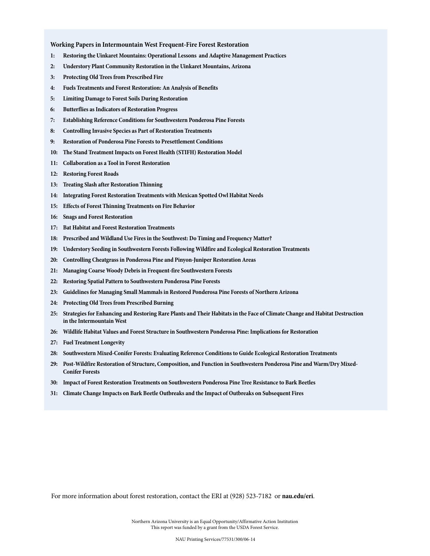**Working Papers in Intermountain West Frequent-Fire Forest Restoration**

- **1: Restoring the Uinkaret Mountains: Operational Lessons and Adaptive Management Practices**
- **2: Understory Plant Community Restoration in the Uinkaret Mountains, Arizona**
- **3: Protecting Old Trees from Prescribed Fire**
- **4: Fuels Treatments and Forest Restoration: An Analysis of Benefits**
- **5: Limiting Damage to Forest Soils During Restoration**
- **6: Butterflies as Indicators of Restoration Progress**
- **7: Establishing Reference Conditions for Southwestern Ponderosa Pine Forests**
- **8: Controlling Invasive Species as Part of Restoration Treatments**
- **9: Restoration of Ponderosa Pine Forests to Presettlement Conditions**
- **10: The Stand Treatment Impacts on Forest Health (STIFH) Restoration Model**
- **11: Collaboration as a Tool in Forest Restoration**
- **12: Restoring Forest Roads**
- **13: Treating Slash after Restoration Thinning**
- **14: Integrating Forest Restoration Treatments with Mexican Spotted Owl Habitat Needs**
- **15: Effects of Forest Thinning Treatments on Fire Behavior**
- **16: Snags and Forest Restoration**
- **17: Bat Habitat and Forest Restoration Treatments**
- **18: Prescribed and Wildland Use Fires in the Southwest: Do Timing and Frequency Matter?**
- **19: Understory Seeding in Southwestern Forests Following Wildfire and Ecological Restoration Treatments**
- **20: Controlling Cheatgrass in Ponderosa Pine and Pinyon-Juniper Restoration Areas**
- **21: Managing Coarse Woody Debris in Frequent-fire Southwestern Forests**
- **22: Restoring Spatial Pattern to Southwestern Ponderosa Pine Forests**
- **23: Guidelines for Managing Small Mammals in Restored Ponderosa Pine Forests of Northern Arizona**
- **24: Protecting Old Trees from Prescribed Burning**
- **25: Strategies for Enhancing and Restoring Rare Plants and Their Habitats in the Face of Climate Change and Habitat Destruction in the Intermountain West**
- **26: Wildlife Habitat Values and Forest Structure in Southwestern Ponderosa Pine: Implications for Restoration**
- **27: Fuel Treatment Longevity**
- **28: Southwestern Mixed-Conifer Forests: Evaluating Reference Conditions to Guide Ecological Restoration Treatments**
- **29: Post-Wildfire Restoration of Structure, Composition, and Function in Southwestern Ponderosa Pine and Warm/Dry Mixed-Conifer Forests**
- **30: Impact of Forest Restoration Treatments on Southwestern Ponderosa Pine Tree Resistance to Bark Beetles**
- **31: Climate Change Impacts on Bark Beetle Outbreaks and the Impact of Outbreaks on Subsequent Fires**

For more information about forest restoration, contact the ERI at (928) 523-7182 or **nau.edu/eri**.